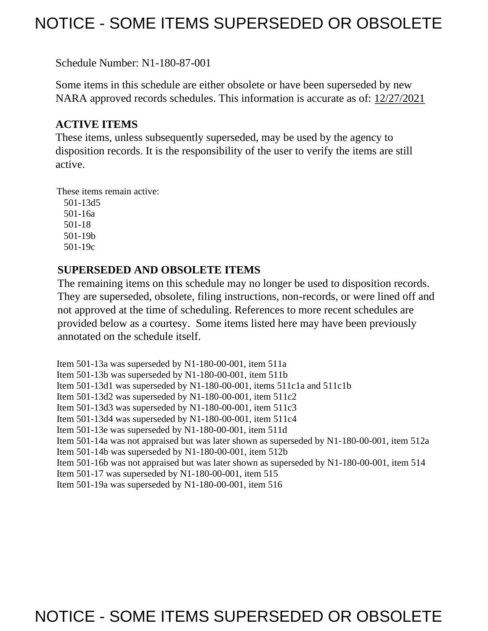## NOTICE - SOME ITEMS SUPERSEDED OR OBSOLETE

Schedule Number: N1-180-87-001

Some items in this schedule are either obsolete or have been superseded by new NARA approved records schedules. This information is accurate as of: 12/27/2021

## **ACTIVE ITEMS**

These items, unless subsequently superseded, may be used by the agency to disposition records. It is the responsibility of the user to verify the items are still active.

These items remain active:

 501-13d5 501-16a 501-18 501-19b 501-19c

## **SUPERSEDED AND OBSOLETE ITEMS**

The remaining items on this schedule may no longer be used to disposition records. They are superseded, obsolete, filing instructions, non-records, or were lined off and not approved at the time of scheduling. References to more recent schedules are provided below as a courtesy. Some items listed here may have been previously annotated on the schedule itself.

Item 501-13a was superseded by N1-180-00-001, item 511a Item 501-13b was superseded by N1-180-00-001, item 511b Item 501-13d1 was superseded by N1-180-00-001, items 511c1a and 511c1b Item 501-13d2 was superseded by N1-180-00-001, item 511c2 Item 501-13d3 was superseded by N1-180-00-001, item 511c3 Item 501-13d4 was superseded by N1-180-00-001, item 511c4 Item 501-13e was superseded by N1-180-00-001, item 511d Item 501-14a was not appraised but was later shown as superseded by N1-180-00-001, item 512a Item 501-14b was superseded by N1-180-00-001, item 512b Item 501-16b was not appraised but was later shown as superseded by N1-180-00-001, item 514 Item 501-17 was superseded by N1-180-00-001, item 515 Item 501-19a was superseded by N1-180-00-001, item 516

## NOTICE - SOME ITEMS SUPERSEDED OR OBSOLETE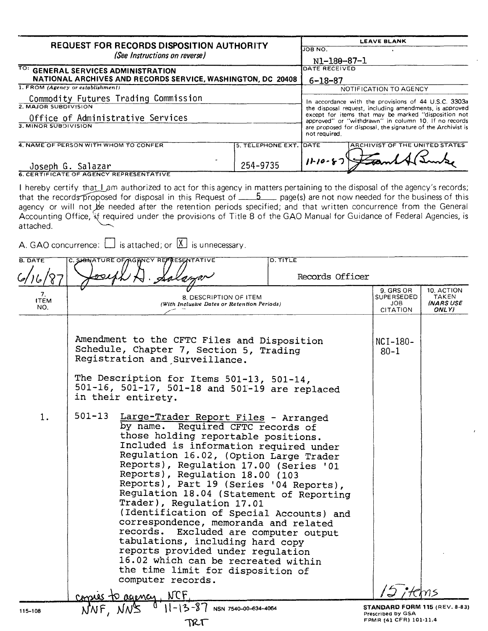| <b>REQUEST FOR RECORDS DISPOSITION AUTHORITY</b>            | <b>LEAVE BLANK</b>                                                                                           |
|-------------------------------------------------------------|--------------------------------------------------------------------------------------------------------------|
|                                                             | UOB NO.                                                                                                      |
| (See Instructions on reverse)                               | N1-180-87-1                                                                                                  |
| TO: GENERAL SERVICES ADMINISTRATION                         | DATE RECEIVED                                                                                                |
| NATIONAL ARCHIVES AND RECORDS SERVICE, WASHINGTON, DC 20408 | 6-18-87                                                                                                      |
| 1. FROM (Agency or establishment)                           | NOTIFICATION TO AGENCY                                                                                       |
| Commodity Futures Trading Commission                        | In accordance with the provisions of 44 U.S.C. 3303a                                                         |
| 2. MAJOR SUBDIVISION                                        | the disposal request, including amendments, is approved                                                      |
| Office of Administrative Services                           | except for items that may be marked "disposition not<br>approved" or "withdrawn" in column 10. If no records |
| 3. MINOR SUBDIVISION                                        | are proposed for disposal, the signature of the Archivist is<br>not required.                                |
| 4. NAME OF PERSON WITH WHOM TO CONFER                       | ARCHIVIST OF THE UNITED STATES<br>5. TELEPHONE EXT. DATE                                                     |
| Joseph G. Salazar                                           | $11 - 10 - 87$<br>254-9735                                                                                   |
| <b>6. CERTIFICATE OF AGENCY REPRESENTATIVE</b>              |                                                                                                              |

I hereby certify that Lam authorized to act for this agency in matters pertaining to the disposal of the agency's records; that the records-proposed for disposal in this Request of **5 5** page(s) are not now needed for the business of this agency or will not be needed after the retention periods specified; and that written concurrence from the General Accounting Office, 'if required under the provisions of Title 8 of the GAO Manual for Guidance of Federal Agencies, is attached.

A. GAO concurrence:  $\Box$  is attached; or  $\Box$  is unnecessary.

| <b>B. DATE</b>           | <b>D. TITLE</b><br>C. SIGNATURE OF AGANCY REPRESENTATIVE                                                                                                                                                                                                                                                                                                                                                                                                                                                                                                                                                                                                                                                                       |                                                           |                                           |
|--------------------------|--------------------------------------------------------------------------------------------------------------------------------------------------------------------------------------------------------------------------------------------------------------------------------------------------------------------------------------------------------------------------------------------------------------------------------------------------------------------------------------------------------------------------------------------------------------------------------------------------------------------------------------------------------------------------------------------------------------------------------|-----------------------------------------------------------|-------------------------------------------|
|                          | Records Officer                                                                                                                                                                                                                                                                                                                                                                                                                                                                                                                                                                                                                                                                                                                |                                                           |                                           |
| 7.<br><b>ITEM</b><br>NO. | 8. DESCRIPTION OF ITEM<br>(With Inclusive Dates or Retention Periods)                                                                                                                                                                                                                                                                                                                                                                                                                                                                                                                                                                                                                                                          | 9. GRS OR<br><b>SUPERSEDED</b><br>JOB.<br>CITATION        | 10, ACTION<br>TAKEN<br>(NARS USE<br>ONLY) |
|                          | Amendment to the CFTC Files and Disposition<br>Schedule, Chapter 7, Section 5, Trading<br>Registration and Surveillance.<br>The Description for Items 501-13, 501-14,<br>501-16, 501-17, 501-18 and 501-19 are replaced<br>in their entirety.                                                                                                                                                                                                                                                                                                                                                                                                                                                                                  | $NCI-180-$<br>$80 - 1$                                    |                                           |
| 1.                       | $501 - 13$<br>Large-Trader Report Files - Arranged<br>by name. Required CFTC records of<br>those holding reportable positions.<br>Included is information required under<br>Regulation 16.02, (Option Large Trader<br>Reports), Regulation 17.00 (Series '01<br>Reports), Regulation 18.00 (103<br>Reports), Part 19 (Series '04 Reports),<br>Regulation 18.04 (Statement of Reporting<br>Trader), Regulation 17.01<br>(Identification of Special Accounts) and<br>correspondence, memoranda and related<br>records.<br>Excluded are computer output<br>tabulations, including hard copy<br>reports provided under regulation<br>16.02 which can be recreated within<br>the time limit for disposition of<br>computer records. |                                                           |                                           |
|                          | <b>NCF</b><br>ACIOMEN                                                                                                                                                                                                                                                                                                                                                                                                                                                                                                                                                                                                                                                                                                          |                                                           |                                           |
| 115-108                  | NSN 7540-00-634-4064                                                                                                                                                                                                                                                                                                                                                                                                                                                                                                                                                                                                                                                                                                           | <b>STANDARD FORM 115 (REV. 8-83)</b><br>Prescribed by GSA |                                           |
|                          | TRT                                                                                                                                                                                                                                                                                                                                                                                                                                                                                                                                                                                                                                                                                                                            | FPMR (41 CFR) 101-11.4                                    |                                           |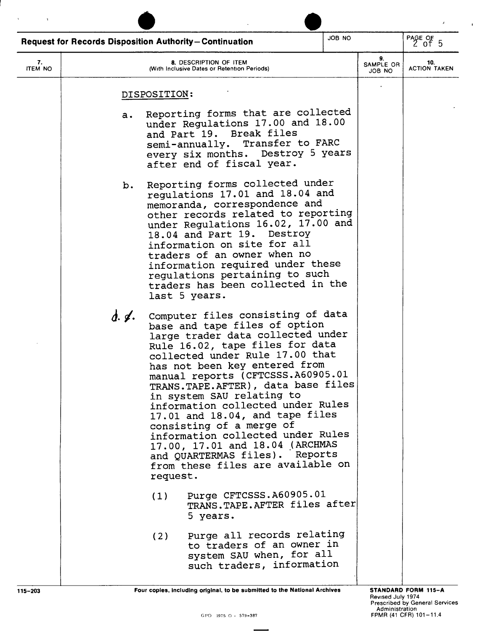| JOB NO<br><b>Request for Records Disposition Authority-Continuation</b> |       |                                                                                                                                                                                                                                                                                                                                                                                                                                                                                                                                                                                         |  |                           | PAGE OF $5$                |
|-------------------------------------------------------------------------|-------|-----------------------------------------------------------------------------------------------------------------------------------------------------------------------------------------------------------------------------------------------------------------------------------------------------------------------------------------------------------------------------------------------------------------------------------------------------------------------------------------------------------------------------------------------------------------------------------------|--|---------------------------|----------------------------|
| 7.<br><b>ITEM NO</b>                                                    |       | 8. DESCRIPTION OF ITEM<br>(With Inclusive Dates or Retention Periods)                                                                                                                                                                                                                                                                                                                                                                                                                                                                                                                   |  | 9.<br>SAMPLE OR<br>JOB NO | 10.<br><b>ACTION TAKEN</b> |
|                                                                         |       | DISPOSITION:                                                                                                                                                                                                                                                                                                                                                                                                                                                                                                                                                                            |  |                           |                            |
|                                                                         | а.    | Reporting forms that are collected<br>under Regulations 17.00 and 18.00<br>and Part 19. Break files<br>semi-annually. Transfer to FARC<br>every six months. Destroy 5 years<br>after end of fiscal year.                                                                                                                                                                                                                                                                                                                                                                                |  |                           |                            |
|                                                                         | b.    | Reporting forms collected under<br>regulations 17.01 and 18.04 and<br>memoranda, correspondence and<br>other records related to reporting<br>under Regulations 16.02, 17.00 and<br>18.04 and Part 19. Destroy<br>information on site for all<br>traders of an owner when no<br>information required under these<br>regulations pertaining to such<br>traders has been collected in the<br>last 5 years.                                                                                                                                                                                 |  |                           |                            |
|                                                                         | d. 4. | Computer files consisting of data<br>base and tape files of option<br>large trader data collected under<br>Rule 16.02, tape files for data<br>collected under Rule 17.00 that<br>has not been key entered from<br>manual reports (CFTCSSS.A60905.01<br>TRANS. TAPE. AFTER), data base files<br>in system SAU relating to<br>information collected under Rules<br>17.01 and 18.04, and tape files<br>consisting of a merge of<br>information collected under Rules<br>17.00, 17.01 and 18.04 (ARCHMAS<br>and QUARTERMAS files). Reports<br>from these files are available on<br>request. |  |                           |                            |
|                                                                         |       | Purge CFTCSSS.A60905.01<br>(1)<br>TRANS. TAPE. AFTER files after<br>5 years.                                                                                                                                                                                                                                                                                                                                                                                                                                                                                                            |  |                           |                            |
|                                                                         |       | Purge all records relating<br>(2)<br>to traders of an owner in<br>system SAU when, for all<br>such traders, information                                                                                                                                                                                                                                                                                                                                                                                                                                                                 |  |                           |                            |

 $\bar{\chi}$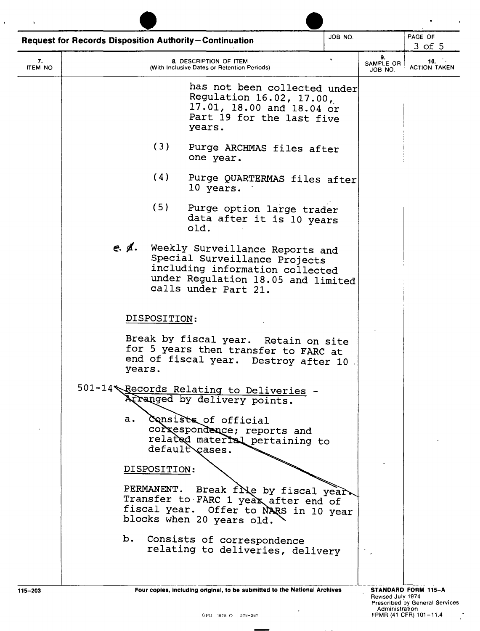| <b>Request for Records Disposition Authority-Continuation</b> |              |              | JOB NO.                                                                                                                                                           |  | PAGE OF<br>$3$ of $5$      |                            |
|---------------------------------------------------------------|--------------|--------------|-------------------------------------------------------------------------------------------------------------------------------------------------------------------|--|----------------------------|----------------------------|
| 7.<br><b>ITEM NO</b>                                          |              |              | 8. DESCRIPTION OF ITEM<br>(With Inclusive Dates or Retention Periods)                                                                                             |  | 9.<br>SAMPLE OR<br>JOB NO. | 10.<br><b>ACTION TAKEN</b> |
|                                                               |              |              | has not been collected under<br>Regulation 16.02, 17.00,<br>17.01, 18.00 and 18.04 or<br>Part 19 for the last five<br>years.                                      |  |                            |                            |
|                                                               |              | (3)          | Purge ARCHMAS files after<br>one year.                                                                                                                            |  |                            |                            |
|                                                               |              | (4)          | Purge QUARTERMAS files after<br>10 years.                                                                                                                         |  |                            |                            |
|                                                               |              | (5)          | Purge option large trader<br>data after it is 10 years<br>old.                                                                                                    |  |                            |                            |
|                                                               | $e \notin$ . |              | Weekly Surveillance Reports and<br>Special Surveillance Projects<br>including information collected<br>under Regulation 18.05 and limited<br>calls under Part 21. |  |                            |                            |
|                                                               |              | DISPOSITION: |                                                                                                                                                                   |  |                            |                            |
|                                                               |              | years.       | Break by fiscal year. Retain on site<br>for 5 years then transfer to FARC at<br>end of fiscal year. Destroy after 10.                                             |  |                            |                            |
|                                                               |              |              | 501-14 Records Relating to Deliveries<br>Arranged by delivery points.                                                                                             |  |                            |                            |
|                                                               | a.           |              | Consists of official<br>correspondence; reports and<br>related material pertaining to<br>default cases.                                                           |  |                            |                            |
|                                                               |              | DISPOSITION: |                                                                                                                                                                   |  |                            |                            |
|                                                               |              |              | PERMANENT. Break file by fiscal year.<br>Transfer to FARC 1 year after end of<br>fiscal year. Offer to NARS in 10 year<br>blocks when 20 years old.               |  |                            |                            |
|                                                               | b.           |              | Consists of correspondence<br>relating to deliveries, delivery                                                                                                    |  |                            |                            |
| 115-203                                                       |              |              | Four copies, including original, to be submitted to the National Archives                                                                                         |  |                            | STANDARD FORM 115-A        |

 $\bar{\mathbf{x}}$ 

 $\sim 100$ 

 $\mathbb{R}^2$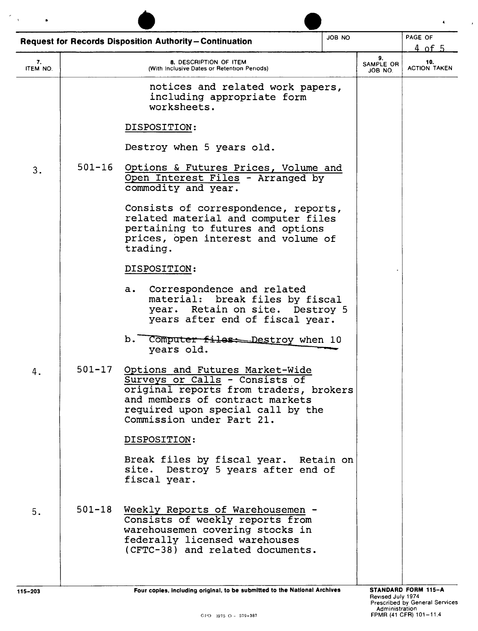| <b>JOB NO</b><br><b>Request for Records Disposition Authority-Continuation</b> |            |                                                                                                                                                                                                                  | PAGE OF<br>$4$ of $5$ |  |  |
|--------------------------------------------------------------------------------|------------|------------------------------------------------------------------------------------------------------------------------------------------------------------------------------------------------------------------|-----------------------|--|--|
| 7.<br>ITEM NO.                                                                 |            | 8. DESCRIPTION OF ITEM<br>(With Inclusive Dates or Retention Periods)                                                                                                                                            |                       |  |  |
|                                                                                |            | notices and related work papers,<br>including appropriate form<br>worksheets.                                                                                                                                    |                       |  |  |
|                                                                                |            | DISPOSITION:                                                                                                                                                                                                     |                       |  |  |
|                                                                                |            | Destroy when 5 years old.                                                                                                                                                                                        |                       |  |  |
| 3.                                                                             | $501 - 16$ | Options & Futures Prices, Volume and<br>Open Interest Files - Arranged by<br>commodity and year.                                                                                                                 |                       |  |  |
|                                                                                |            | Consists of correspondence, reports,<br>related material and computer files<br>pertaining to futures and options<br>prices, open interest and volume of<br>trading.                                              |                       |  |  |
|                                                                                |            | DISPOSITION:                                                                                                                                                                                                     |                       |  |  |
|                                                                                |            | Correspondence and related<br>a.<br>break files by fiscal<br>material:<br>year. Retain on site. Destroy 5<br>years after end of fiscal year.                                                                     |                       |  |  |
|                                                                                |            | b.<br>Computer files: Destroy when 10<br>years old.                                                                                                                                                              |                       |  |  |
|                                                                                | 501-17     | Options and Futures Market-Wide<br>Surveys or Calls - Consists of<br>original reports from traders, brokers<br>and members of contract markets<br>required upon special call by the<br>Commission under Part 21. |                       |  |  |
|                                                                                |            | DISPOSITION:                                                                                                                                                                                                     |                       |  |  |
|                                                                                |            | Break files by fiscal year. Retain on<br>site. Destroy 5 years after end of<br>fiscal year.                                                                                                                      |                       |  |  |
| 5.                                                                             | $501 - 18$ | Weekly Reports of Warehousemen -<br>Consists of weekly reports from<br>warehousemen covering stocks in<br>federally licensed warehouses<br>(CFTC-38) and related documents.                                      |                       |  |  |
|                                                                                |            |                                                                                                                                                                                                                  |                       |  |  |

 $\mathcal{A}$ 

 $\star$